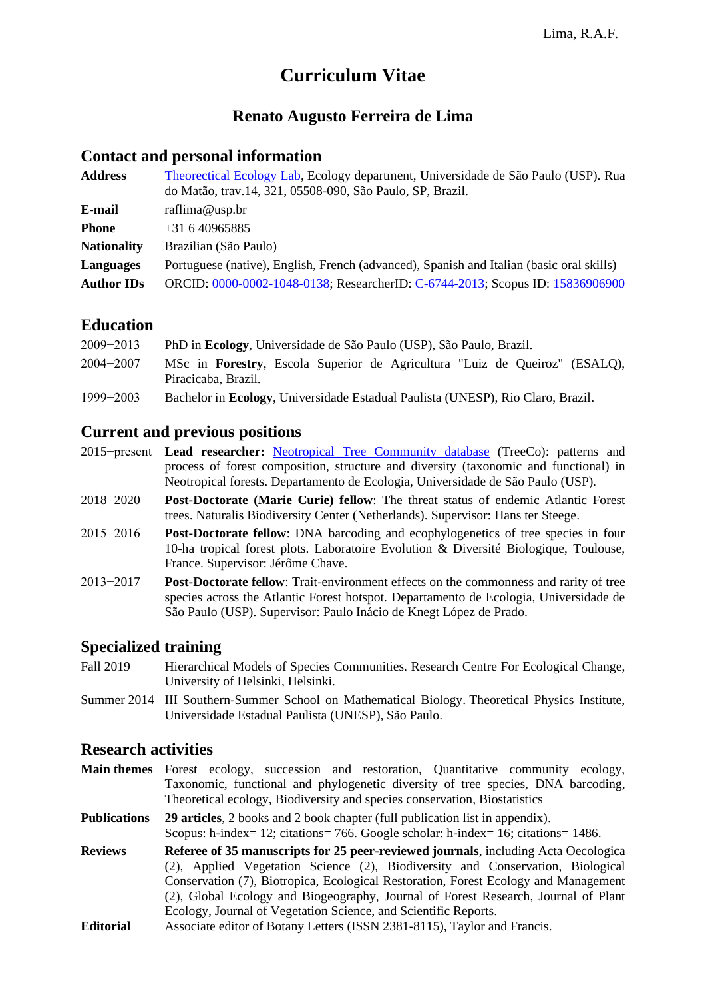# **Curriculum Vitae**

# **Renato Augusto Ferreira de Lima**

# **Contact and personal information**

| <b>Address</b>     | Theorectical Ecology Lab, Ecology department, Universidade de São Paulo (USP). Rua<br>do Matão, trav.14, 321, 05508-090, São Paulo, SP, Brazil. |
|--------------------|-------------------------------------------------------------------------------------------------------------------------------------------------|
| E-mail             | raflima@usp.br                                                                                                                                  |
| <b>Phone</b>       | $+31640965885$                                                                                                                                  |
| <b>Nationality</b> | Brazilian (São Paulo)                                                                                                                           |
| Languages          | Portuguese (native), English, French (advanced), Spanish and Italian (basic oral skills)                                                        |
| <b>Author IDs</b>  | ORCID: 0000-0002-1048-0138; ResearcherID: C-6744-2013; Scopus ID: 15836906900                                                                   |
|                    |                                                                                                                                                 |

# **Education**

| $2009 - 2013$ | PhD in Ecology, Universidade de São Paulo (USP), São Paulo, Brazil.                                       |
|---------------|-----------------------------------------------------------------------------------------------------------|
| $2004 - 2007$ | MSc in <b>Forestry</b> , Escola Superior de Agricultura "Luiz de Queiroz" (ESALQ),<br>Piracicaba, Brazil. |
| $1999 - 2003$ | Bachelor in Ecology, Universidade Estadual Paulista (UNESP), Rio Claro, Brazil.                           |

# **Current and previous positions**

- 2015−present **Lead researcher:** [Neotropical Tree Community database](http://labtrop.ib.usp.br/doku.php?id=projetos:treeco:start) (TreeCo): patterns and process of forest composition, structure and diversity (taxonomic and functional) in Neotropical forests. Departamento de Ecologia, Universidade de São Paulo (USP).
- 2018−2020 **Post-Doctorate (Marie Curie) fellow**: The threat status of endemic Atlantic Forest trees. Naturalis Biodiversity Center (Netherlands). Supervisor: Hans ter Steege.
- 2015−2016 **Post-Doctorate fellow**: DNA barcoding and ecophylogenetics of tree species in four 10-ha tropical forest plots. Laboratoire Evolution & Diversité Biologique, Toulouse, France. Supervisor: Jérôme Chave.
- 2013−2017 **Post-Doctorate fellow**: Trait-environment effects on the commonness and rarity of tree species across the Atlantic Forest hotspot. Departamento de Ecologia, Universidade de São Paulo (USP). Supervisor: Paulo Inácio de Knegt López de Prado.

# **Specialized training**

- Fall 2019 Hierarchical Models of Species Communities. Research Centre For Ecological Change, University of Helsinki, Helsinki.
- Summer 2014 III Southern-Summer School on Mathematical Biology. Theoretical Physics Institute, Universidade Estadual Paulista (UNESP), São Paulo.

### **Research activities**

**Main themes** Forest ecology, succession and restoration, Quantitative community ecology, Taxonomic, functional and phylogenetic diversity of tree species, DNA barcoding, Theoretical ecology, Biodiversity and species conservation, Biostatistics

**Publications 29 articles**, 2 books and 2 book chapter (full publication list in appendix). Scopus: h-index= 12; citations= 766. Google scholar: h-index= 16; citations= 1486.

- **Reviews Referee of 35 manuscripts for 25 peer-reviewed journals**, including Acta Oecologica (2), Applied Vegetation Science (2), Biodiversity and Conservation, Biological Conservation (7), Biotropica, Ecological Restoration, Forest Ecology and Management (2), Global Ecology and Biogeography, Journal of Forest Research, Journal of Plant Ecology, Journal of Vegetation Science, and Scientific Reports.
- **Editorial** Associate editor of Botany Letters (ISSN 2381-8115), Taylor and Francis.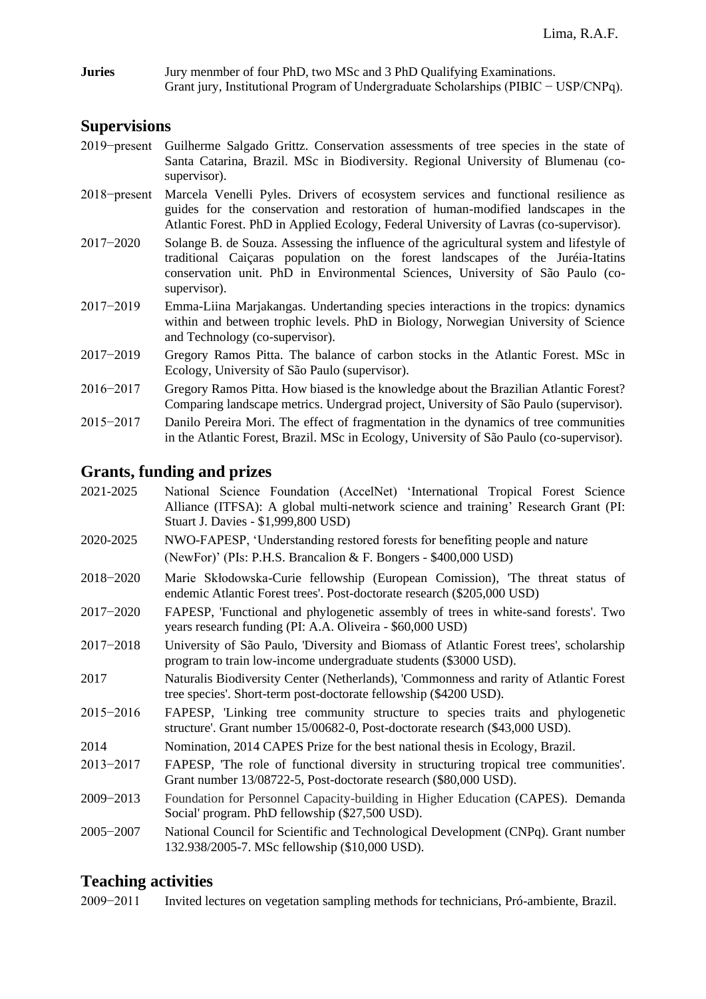**Juries** Jury menmber of four PhD, two MSc and 3 PhD Qualifying Examinations. Grant jury, Institutional Program of Undergraduate Scholarships (PIBIC − USP/CNPq).

# **Supervisions**

- 2019−present Guilherme Salgado Grittz. Conservation assessments of tree species in the state of Santa Catarina, Brazil. MSc in Biodiversity. Regional University of Blumenau (cosupervisor).
- 2018−present Marcela Venelli Pyles. Drivers of ecosystem services and functional resilience as guides for the conservation and restoration of human-modified landscapes in the Atlantic Forest. PhD in Applied Ecology, Federal University of Lavras (co-supervisor).
- 2017−2020 Solange B. de Souza. Assessing the influence of the agricultural system and lifestyle of traditional Caiçaras population on the forest landscapes of the Juréia-Itatins conservation unit. PhD in Environmental Sciences, University of São Paulo (cosupervisor).
- 2017−2019 Emma-Liina Marjakangas. Undertanding species interactions in the tropics: dynamics within and between trophic levels. PhD in Biology, Norwegian University of Science and Technology (co-supervisor).
- 2017−2019 Gregory Ramos Pitta. The balance of carbon stocks in the Atlantic Forest. MSc in Ecology, University of São Paulo (supervisor).
- 2016−2017 Gregory Ramos Pitta. How biased is the knowledge about the Brazilian Atlantic Forest? Comparing landscape metrics. Undergrad project, University of São Paulo (supervisor).
- 2015−2017 Danilo Pereira Mori. The effect of fragmentation in the dynamics of tree communities in the Atlantic Forest, Brazil. MSc in Ecology, University of São Paulo (co-supervisor).

# **Grants, funding and prizes**

- 2021-2025 National Science Foundation (AccelNet) 'International Tropical Forest Science Alliance (ITFSA): A global multi-network science and training' Research Grant (PI: Stuart J. Davies - \$1,999,800 USD)
- 2020-2025 NWO-FAPESP, 'Understanding restored forests for benefiting people and nature (NewFor)' (PIs: P.H.S. Brancalion & F. Bongers - \$400,000 USD)
- 2018−2020 Marie Skłodowska-Curie fellowship (European Comission), 'The threat status of endemic Atlantic Forest trees'. Post-doctorate research (\$205,000 USD)
- 2017−2020 FAPESP, 'Functional and phylogenetic assembly of trees in white-sand forests'. Two years research funding (PI: A.A. Oliveira - \$60,000 USD)
- 2017−2018 University of São Paulo, 'Diversity and Biomass of Atlantic Forest trees', scholarship program to train low-income undergraduate students (\$3000 USD).
- 2017 Naturalis Biodiversity Center (Netherlands), 'Commonness and rarity of Atlantic Forest tree species'. Short-term post-doctorate fellowship (\$4200 USD).
- 2015−2016 FAPESP, 'Linking tree community structure to species traits and phylogenetic structure'. Grant number 15/00682-0, Post-doctorate research (\$43,000 USD).
- 2014 Nomination, 2014 CAPES Prize for the best national thesis in Ecology, Brazil.
- 2013−2017 FAPESP, 'The role of functional diversity in structuring tropical tree communities'. Grant number 13/08722-5, Post-doctorate research (\$80,000 USD).
- 2009−2013 Foundation for Personnel Capacity-building in Higher Education (CAPES). Demanda Social' program. PhD fellowship (\$27,500 USD).
- 2005−2007 National Council for Scientific and Technological Development (CNPq). Grant number 132.938/2005-7. MSc fellowship (\$10,000 USD).

# **Teaching activities**

2009−2011 Invited lectures on vegetation sampling methods for technicians, Pró-ambiente, Brazil.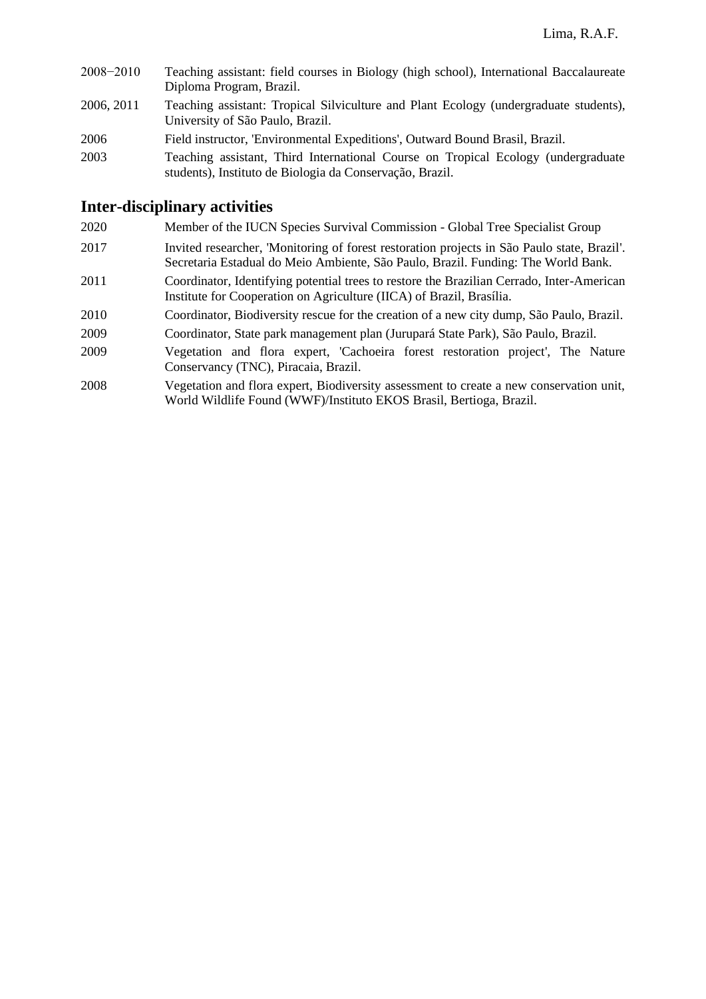2008−2010 Teaching assistant: field courses in Biology (high school), International Baccalaureate Diploma Program, Brazil. 2006, 2011 Teaching assistant: Tropical Silviculture and Plant Ecology (undergraduate students), University of São Paulo, Brazil. 2006 Field instructor, 'Environmental Expeditions', Outward Bound Brasil, Brazil. 2003 Teaching assistant, Third International Course on Tropical Ecology (undergraduate students), Instituto de Biologia da Conservação, Brazil.

# **Inter-disciplinary activities**

- 2020 Member of the IUCN Species Survival Commission Global Tree Specialist Group
- 2017 Invited researcher, 'Monitoring of forest restoration projects in São Paulo state, Brazil'. Secretaria Estadual do Meio Ambiente, São Paulo, Brazil. Funding: The World Bank.
- 2011 Coordinator, Identifying potential trees to restore the Brazilian Cerrado, Inter-American Institute for Cooperation on Agriculture (IICA) of Brazil, Brasília.
- 2010 Coordinator, Biodiversity rescue for the creation of a new city dump, São Paulo, Brazil.
- 2009 Coordinator, State park management plan (Jurupará State Park), São Paulo, Brazil.
- 2009 Vegetation and flora expert, 'Cachoeira forest restoration project', The Nature Conservancy (TNC), Piracaia, Brazil.
- 2008 Vegetation and flora expert, Biodiversity assessment to create a new conservation unit, World Wildlife Found (WWF)/Instituto EKOS Brasil, Bertioga, Brazil.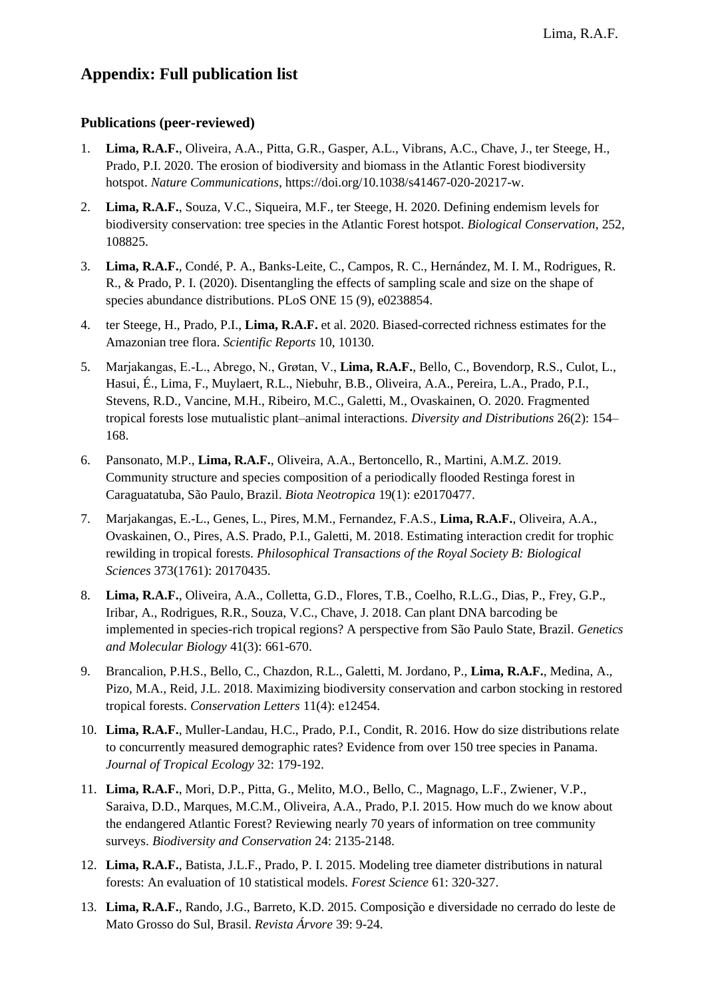# **Appendix: Full publication list**

### **Publications (peer-reviewed)**

- 1. **Lima, R.A.F.**, Oliveira, A.A., Pitta, G.R., Gasper, A.L., Vibrans, A.C., Chave, J., ter Steege, H., Prado, P.I. 2020. The erosion of biodiversity and biomass in the Atlantic Forest biodiversity hotspot. *Nature Communications*, https://doi.org/10.1038/s41467-020-20217-w.
- 2. **Lima, R.A.F.**, Souza, V.C., Siqueira, M.F., ter Steege, H. 2020. Defining endemism levels for biodiversity conservation: tree species in the Atlantic Forest hotspot. *Biological Conservation*, 252, 108825.
- 3. **Lima, R.A.F.**, Condé, P. A., Banks-Leite, C., Campos, R. C., Hernández, M. I. M., Rodrigues, R. R., & Prado, P. I. (2020). Disentangling the effects of sampling scale and size on the shape of species abundance distributions. PLoS ONE 15 (9), e0238854.
- 4. ter Steege, H., Prado, P.I., **Lima, R.A.F.** et al. 2020. Biased-corrected richness estimates for the Amazonian tree flora. *Scientific Reports* 10, 10130.
- 5. Marjakangas, E.‐L., Abrego, N., Grøtan, V., **Lima, R.A.F.**, Bello, C., Bovendorp, R.S., Culot, L., Hasui, É., Lima, F., Muylaert, R.L., Niebuhr, B.B., Oliveira, A.A., Pereira, L.A., Prado, P.I., Stevens, R.D., Vancine, M.H., Ribeiro, M.C., Galetti, M., Ovaskainen, O. 2020. Fragmented tropical forests lose mutualistic plant–animal interactions. *Diversity and Distributions* 26(2): 154– 168.
- 6. Pansonato, M.P., **Lima, R.A.F.**, Oliveira, A.A., Bertoncello, R., Martini, A.M.Z. 2019. Community structure and species composition of a periodically flooded Restinga forest in Caraguatatuba, São Paulo, Brazil. *Biota Neotropica* 19(1): e20170477.
- 7. Marjakangas, E.-L., Genes, L., Pires, M.M., Fernandez, F.A.S., **Lima, R.A.F.**, Oliveira, A.A., Ovaskainen, O., Pires, A.S. Prado, P.I., Galetti, M. 2018. Estimating interaction credit for trophic rewilding in tropical forests. *Philosophical Transactions of the Royal Society B: Biological Sciences* 373(1761): 20170435.
- 8. **Lima, R.A.F.**, Oliveira, A.A., Colletta, G.D., Flores, T.B., Coelho, R.L.G., Dias, P., Frey, G.P., Iribar, A., Rodrigues, R.R., Souza, V.C., Chave, J. 2018. Can plant DNA barcoding be implemented in species-rich tropical regions? A perspective from São Paulo State, Brazil. *Genetics and Molecular Biology* 41(3): 661-670.
- 9. Brancalion, P.H.S., Bello, C., Chazdon, R.L., Galetti, M. Jordano, P., **Lima, R.A.F.**, Medina, A., Pizo, M.A., Reid, J.L. 2018. Maximizing biodiversity conservation and carbon stocking in restored tropical forests. *Conservation Letters* 11(4): e12454.
- 10. **Lima, R.A.F.**, Muller-Landau, H.C., Prado, P.I., Condit, R. 2016. How do size distributions relate to concurrently measured demographic rates? Evidence from over 150 tree species in Panama. *Journal of Tropical Ecology* 32: 179-192.
- 11. **Lima, R.A.F.**, Mori, D.P., Pitta, G., Melito, M.O., Bello, C., Magnago, L.F., Zwiener, V.P., Saraiva, D.D., Marques, M.C.M., Oliveira, A.A., Prado, P.I. 2015. How much do we know about the endangered Atlantic Forest? Reviewing nearly 70 years of information on tree community surveys. *Biodiversity and Conservation* 24: 2135-2148.
- 12. **Lima, R.A.F.**, Batista, J.L.F., Prado, P. I. 2015. Modeling tree diameter distributions in natural forests: An evaluation of 10 statistical models. *Forest Science* 61: 320-327.
- 13. **Lima, R.A.F.**, Rando, J.G., Barreto, K.D. 2015. Composição e diversidade no cerrado do leste de Mato Grosso do Sul, Brasil. *Revista Árvore* 39: 9-24.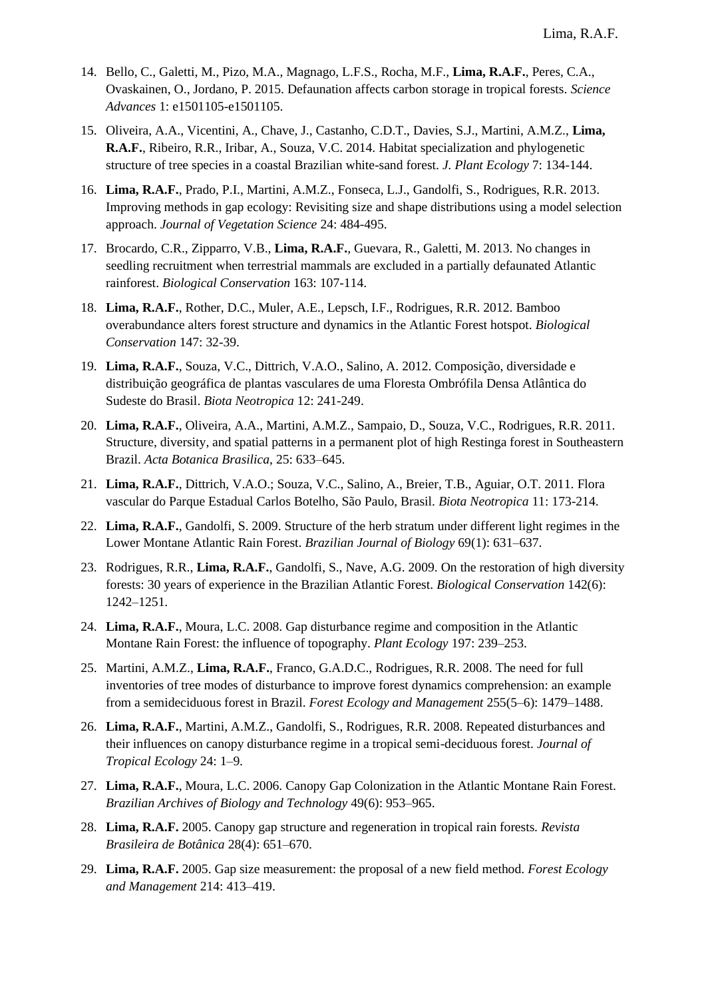- 14. Bello, C., Galetti, M., Pizo, M.A., Magnago, L.F.S., Rocha, M.F., **Lima, R.A.F.**, Peres, C.A., Ovaskainen, O., Jordano, P. 2015. Defaunation affects carbon storage in tropical forests. *Science Advances* 1: e1501105-e1501105.
- 15. Oliveira, A.A., Vicentini, A., Chave, J., Castanho, C.D.T., Davies, S.J., Martini, A.M.Z., **Lima, R.A.F.**, Ribeiro, R.R., Iribar, A., Souza, V.C. 2014. Habitat specialization and phylogenetic structure of tree species in a coastal Brazilian white-sand forest. *J. Plant Ecology* 7: 134-144.
- 16. **Lima, R.A.F.**, Prado, P.I., Martini, A.M.Z., Fonseca, L.J., Gandolfi, S., Rodrigues, R.R. 2013. Improving methods in gap ecology: Revisiting size and shape distributions using a model selection approach. *Journal of Vegetation Science* 24: 484-495.
- 17. Brocardo, C.R., Zipparro, V.B., **Lima, R.A.F.**, Guevara, R., Galetti, M. 2013. No changes in seedling recruitment when terrestrial mammals are excluded in a partially defaunated Atlantic rainforest. *Biological Conservation* 163: 107-114.
- 18. **Lima, R.A.F.**, Rother, D.C., Muler, A.E., Lepsch, I.F., [Rodrigues, R.R.](http://lattes.cnpq.br/4985911040627273) 2012. Bamboo overabundance alters forest structure and dynamics in the Atlantic Forest hotspot. *Biological Conservation* 147: 32-39.
- 19. **Lima, R.A.F.**, Souza, V.C., Dittrich, V.A.O., Salino, A. 2012. Composição, diversidade e distribuição geográfica de plantas vasculares de uma Floresta Ombrófila Densa Atlântica do Sudeste do Brasil. *Biota Neotropica* 12: 241-249.
- 20. **Lima, R.A.F.**, Oliveira, A.A., Martini, A.M.Z., Sampaio, D., Souza, V.C., Rodrigues, R.R. 2011. Structure, diversity, and spatial patterns in a permanent plot of high Restinga forest in Southeastern Brazil. *Acta Botanica Brasilica*, 25: 633–645.
- 21. **Lima, R.A.F.**, Dittrich, V.A.O.; Souza, V.C., Salino, A., Breier, T.B., Aguiar, O.T. 2011. Flora vascular do Parque Estadual Carlos Botelho, São Paulo, Brasil. *Biota Neotropica* 11: 173-214.
- 22. **Lima, R.A.F.**, Gandolfi, S. 2009. Structure of the herb stratum under different light regimes in the Lower Montane Atlantic Rain Forest. *Brazilian Journal of Biology* 69(1): 631–637.
- 23. Rodrigues, R.R., **Lima, R.A.F.**, Gandolfi, S., Nave, A.G. 2009. On the restoration of high diversity forests: 30 years of experience in the Brazilian Atlantic Forest. *Biological Conservation* 142(6): 1242–1251.
- 24. **Lima, R.A.F.**, Moura, L.C. 2008. Gap disturbance regime and composition in the Atlantic Montane Rain Forest: the influence of topography. *Plant Ecology* 197: 239–253.
- 25. Martini, A.M.Z., **Lima, R.A.F.**, Franco, G.A.D.C., Rodrigues, R.R. 2008. The need for full inventories of tree modes of disturbance to improve forest dynamics comprehension: an example from a semideciduous forest in Brazil. *Forest Ecology and Management* 255(5–6): 1479–1488.
- 26. **Lima, R.A.F.**, Martini, A.M.Z., Gandolfi, S., Rodrigues, R.R. 2008. Repeated disturbances and their influences on canopy disturbance regime in a tropical semi-deciduous forest. *Journal of Tropical Ecology* 24: 1–9.
- 27. **Lima, R.A.F.**, Moura, L.C. 2006. Canopy Gap Colonization in the Atlantic Montane Rain Forest. *Brazilian Archives of Biology and Technology* 49(6): 953–965.
- 28. **Lima, R.A.F.** 2005. Canopy gap structure and regeneration in tropical rain forests. *Revista Brasileira de Botânica* 28(4): 651–670.
- 29. **Lima, R.A.F.** 2005. Gap size measurement: the proposal of a new field method. *Forest Ecology and Management* 214: 413–419.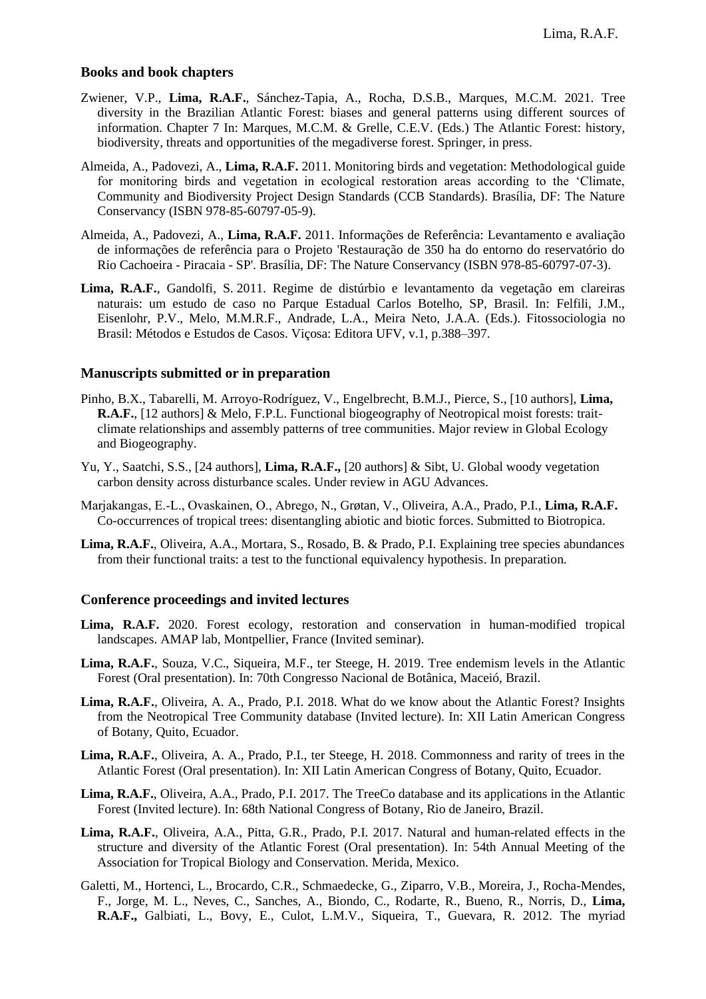#### **Books and book chapters**

- Zwiener, V.P., **Lima, R.A.F.**, Sánchez-Tapia, A., Rocha, D.S.B., Marques, M.C.M. 2021. Tree diversity in the Brazilian Atlantic Forest: biases and general patterns using different sources of information. Chapter 7 In: Marques, M.C.M. & Grelle, C.E.V. (Eds.) The Atlantic Forest: history, biodiversity, threats and opportunities of the megadiverse forest. Springer, in press.
- Almeida, A., Padovezi, A., **Lima, R.A.F.** 2011. Monitoring birds and vegetation: Methodological guide for monitoring birds and vegetation in ecological restoration areas according to the 'Climate, Community and Biodiversity Project Design Standards (CCB Standards). Brasília, DF: The Nature Conservancy (ISBN 978-85-60797-05-9).
- Almeida, A., Padovezi, A., **Lima, R.A.F.** 2011. Informações de Referência: Levantamento e avaliação de informações de referência para o Projeto 'Restauração de 350 ha do entorno do reservatório do Rio Cachoeira - Piracaia - SP'. Brasília, DF: The Nature Conservancy (ISBN 978-85-60797-07-3).
- **Lima, R.A.F.**, Gandolfi, S. 2011. Regime de distúrbio e levantamento da vegetação em clareiras naturais: um estudo de caso no Parque Estadual Carlos Botelho, SP, Brasil. In: Felfili, J.M., Eisenlohr, P.V., Melo, M.M.R.F., Andrade, L.A., Meira Neto, J.A.A. (Eds.). Fitossociologia no Brasil: Métodos e Estudos de Casos. Viçosa: Editora UFV, v.1, p.388–397.

#### **Manuscripts submitted or in preparation**

- Pinho, B.X., Tabarelli, M. Arroyo-Rodríguez, V., Engelbrecht, B.M.J., Pierce, S., [10 authors], **Lima, R.A.F.**, [12 authors] & Melo, F.P.L. Functional biogeography of Neotropical moist forests: traitclimate relationships and assembly patterns of tree communities. Major review in Global Ecology and Biogeography.
- Yu, Y., Saatchi, S.S., [24 authors], **Lima, R.A.F.,** [20 authors] & Sibt, U. Global woody vegetation carbon density across disturbance scales. Under review in AGU Advances.
- Marjakangas, E.‐L., Ovaskainen, O., Abrego, N., Grøtan, V., Oliveira, A.A., Prado, P.I., **Lima, R.A.F.** Co-occurrences of tropical trees: disentangling abiotic and biotic forces. Submitted to Biotropica.
- **Lima, R.A.F.**, Oliveira, A.A., Mortara, S., Rosado, B. & Prado, P.I. Explaining tree species abundances from their functional traits: a test to the functional equivalency hypothesis. In preparation.

#### **Conference proceedings and invited lectures**

- Lima, R.A.F. 2020. Forest ecology, restoration and conservation in human-modified tropical landscapes. AMAP lab, Montpellier, France (Invited seminar).
- **Lima, R.A.F.**, Souza, V.C., Siqueira, M.F., ter Steege, H. 2019. Tree endemism levels in the Atlantic Forest (Oral presentation). In: 70th Congresso Nacional de Botânica, Maceió, Brazil.
- **Lima, R.A.F.**, Oliveira, A. A., Prado, P.I. 2018. What do we know about the Atlantic Forest? Insights from the Neotropical Tree Community database (Invited lecture). In: XII Latin American Congress of Botany, Quito, Ecuador.
- **Lima, R.A.F.**, Oliveira, A. A., Prado, P.I., ter Steege, H. 2018. Commonness and rarity of trees in the Atlantic Forest (Oral presentation). In: XII Latin American Congress of Botany, Quito, Ecuador.
- **Lima, R.A.F.**, Oliveira, A.A., Prado, P.I. 2017. The TreeCo database and its applications in the Atlantic Forest (Invited lecture). In: 68th National Congress of Botany, Rio de Janeiro, Brazil.
- **Lima, R.A.F.**, Oliveira, A.A., Pitta, G.R., Prado, P.I. 2017. Natural and human-related effects in the structure and diversity of the Atlantic Forest (Oral presentation). In: 54th Annual Meeting of the Association for Tropical Biology and Conservation. Merida, Mexico.
- Galetti, M., Hortenci, L., Brocardo, C.R., Schmaedecke, G., Ziparro, V.B., Moreira, J., Rocha-Mendes, F., Jorge, M. L., Neves, C., Sanches, A., Biondo, C., Rodarte, R., Bueno, R., Norris, D., **Lima, R.A.F.,** Galbiati, L., Bovy, E., Culot, L.M.V., Siqueira, T., Guevara, R. 2012. The myriad